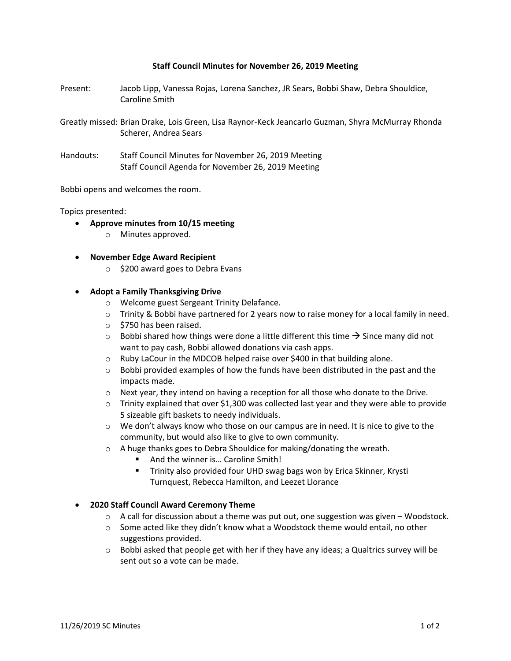#### **Staff Council Minutes for November 26, 2019 Meeting**

- Present: Jacob Lipp, Vanessa Rojas, Lorena Sanchez, JR Sears, Bobbi Shaw, Debra Shouldice, Caroline Smith
- Greatly missed: Brian Drake, Lois Green, Lisa Raynor-Keck Jeancarlo Guzman, Shyra McMurray Rhonda Scherer, Andrea Sears
- Handouts: Staff Council Minutes for November 26, 2019 Meeting Staff Council Agenda for November 26, 2019 Meeting

Bobbi opens and welcomes the room.

Topics presented:

- **Approve minutes from 10/15 meeting**
	- o Minutes approved.
- **November Edge Award Recipient** 
	- o \$200 award goes to Debra Evans

#### **Adopt a Family Thanksgiving Drive**

- o Welcome guest Sergeant Trinity Delafance.
- $\circ$  Trinity & Bobbi have partnered for 2 years now to raise money for a local family in need.
- o \$750 has been raised.
- $\circ$  Bobbi shared how things were done a little different this time  $\rightarrow$  Since many did not want to pay cash, Bobbi allowed donations via cash apps.
- o Ruby LaCour in the MDCOB helped raise over \$400 in that building alone.
- $\circ$  Bobbi provided examples of how the funds have been distributed in the past and the impacts made.
- $\circ$  Next year, they intend on having a reception for all those who donate to the Drive.
- $\circ$  Trinity explained that over \$1,300 was collected last year and they were able to provide 5 sizeable gift baskets to needy individuals.
- $\circ$  We don't always know who those on our campus are in need. It is nice to give to the community, but would also like to give to own community.
- o A huge thanks goes to Debra Shouldice for making/donating the wreath.
	- And the winner is... Caroline Smith!
	- **Trinity also provided four UHD swag bags won by Erica Skinner, Krysti** Turnquest, Rebecca Hamilton, and Leezet Llorance

### **2020 Staff Council Award Ceremony Theme**

- $\circ$  A call for discussion about a theme was put out, one suggestion was given Woodstock.
- $\circ$  Some acted like they didn't know what a Woodstock theme would entail, no other suggestions provided.
- $\circ$  Bobbi asked that people get with her if they have any ideas; a Qualtrics survey will be sent out so a vote can be made.